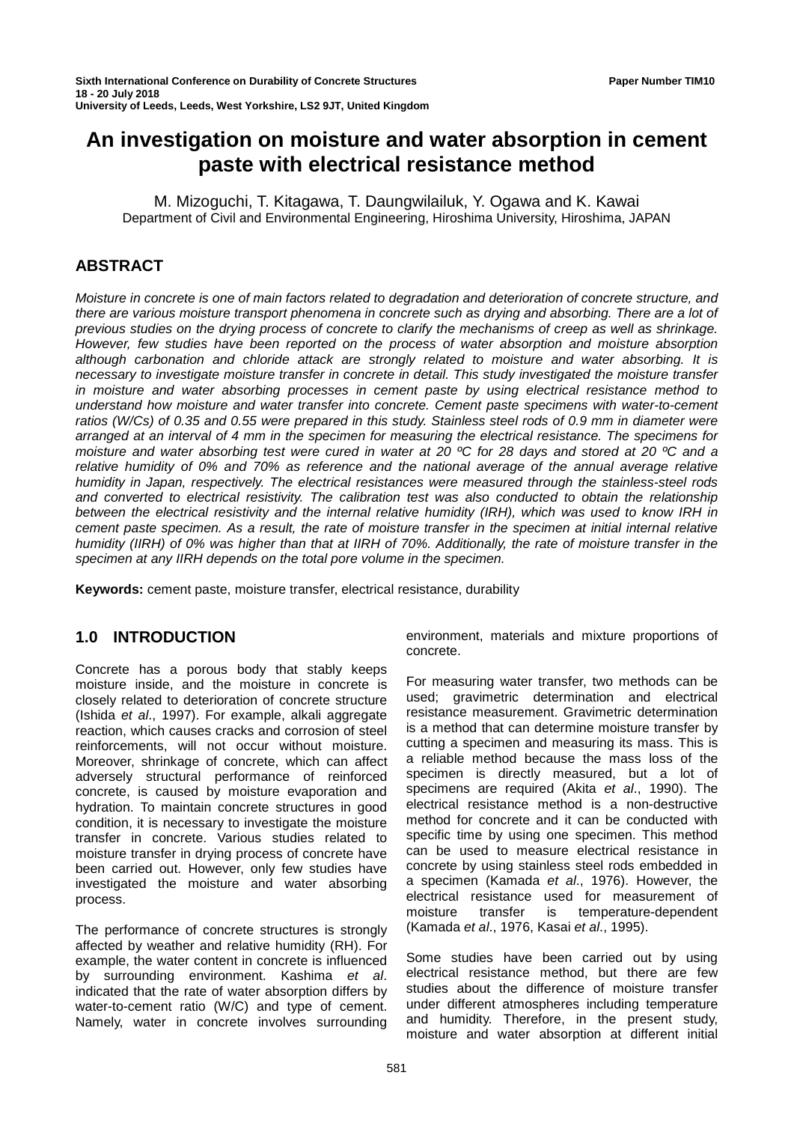# **An investigation on moisture and water absorption in cement paste with electrical resistance method**

M. Mizoguchi, T. Kitagawa, T. Daungwilailuk, Y. Ogawa and K. Kawai Department of Civil and Environmental Engineering, Hiroshima University, Hiroshima, JAPAN

# **ABSTRACT**

*Moisture in concrete is one of main factors related to degradation and deterioration of concrete structure, and there are various moisture transport phenomena in concrete such as drying and absorbing. There are a lot of previous studies on the drying process of concrete to clarify the mechanisms of creep as well as shrinkage. However, few studies have been reported on the process of water absorption and moisture absorption although carbonation and chloride attack are strongly related to moisture and water absorbing. It is necessary to investigate moisture transfer in concrete in detail. This study investigated the moisture transfer in moisture and water absorbing processes in cement paste by using electrical resistance method to understand how moisture and water transfer into concrete. Cement paste specimens with water-to-cement ratios (W/Cs) of 0.35 and 0.55 were prepared in this study. Stainless steel rods of 0.9 mm in diameter were arranged at an interval of 4 mm in the specimen for measuring the electrical resistance. The specimens for moisture and water absorbing test were cured in water at 20 ºC for 28 days and stored at 20 ºC and a relative humidity of 0% and 70% as reference and the national average of the annual average relative humidity in Japan, respectively. The electrical resistances were measured through the stainless-steel rods and converted to electrical resistivity. The calibration test was also conducted to obtain the relationship between the electrical resistivity and the internal relative humidity (IRH), which was used to know IRH in cement paste specimen. As a result, the rate of moisture transfer in the specimen at initial internal relative humidity (IIRH) of 0% was higher than that at IIRH of 70%. Additionally, the rate of moisture transfer in the specimen at any IIRH depends on the total pore volume in the specimen.*

**Keywords:** cement paste, moisture transfer, electrical resistance, durability

# **1.0 INTRODUCTION**

Concrete has a porous body that stably keeps moisture inside, and the moisture in concrete is closely related to deterioration of concrete structure (Ishida *et al*., 1997). For example, alkali aggregate reaction, which causes cracks and corrosion of steel reinforcements, will not occur without moisture. Moreover, shrinkage of concrete, which can affect adversely structural performance of reinforced concrete, is caused by moisture evaporation and hydration. To maintain concrete structures in good condition, it is necessary to investigate the moisture transfer in concrete. Various studies related to moisture transfer in drying process of concrete have been carried out. However, only few studies have investigated the moisture and water absorbing process.

The performance of concrete structures is strongly affected by weather and relative humidity (RH). For example, the water content in concrete is influenced by surrounding environment. Kashima *et al*. indicated that the rate of water absorption differs by water-to-cement ratio (W/C) and type of cement. Namely, water in concrete involves surrounding

environment, materials and mixture proportions of concrete.

For measuring water transfer, two methods can be used; gravimetric determination and electrical resistance measurement. Gravimetric determination is a method that can determine moisture transfer by cutting a specimen and measuring its mass. This is a reliable method because the mass loss of the specimen is directly measured, but a lot of specimens are required (Akita *et al*., 1990). The electrical resistance method is a non-destructive method for concrete and it can be conducted with specific time by using one specimen. This method can be used to measure electrical resistance in concrete by using stainless steel rods embedded in a specimen (Kamada *et al*., 1976). However, the electrical resistance used for measurement of moisture transfer is temperature-dependent (Kamada *et al*., 1976, Kasai *et al*., 1995).

Some studies have been carried out by using electrical resistance method, but there are few studies about the difference of moisture transfer under different atmospheres including temperature and humidity. Therefore, in the present study, moisture and water absorption at different initial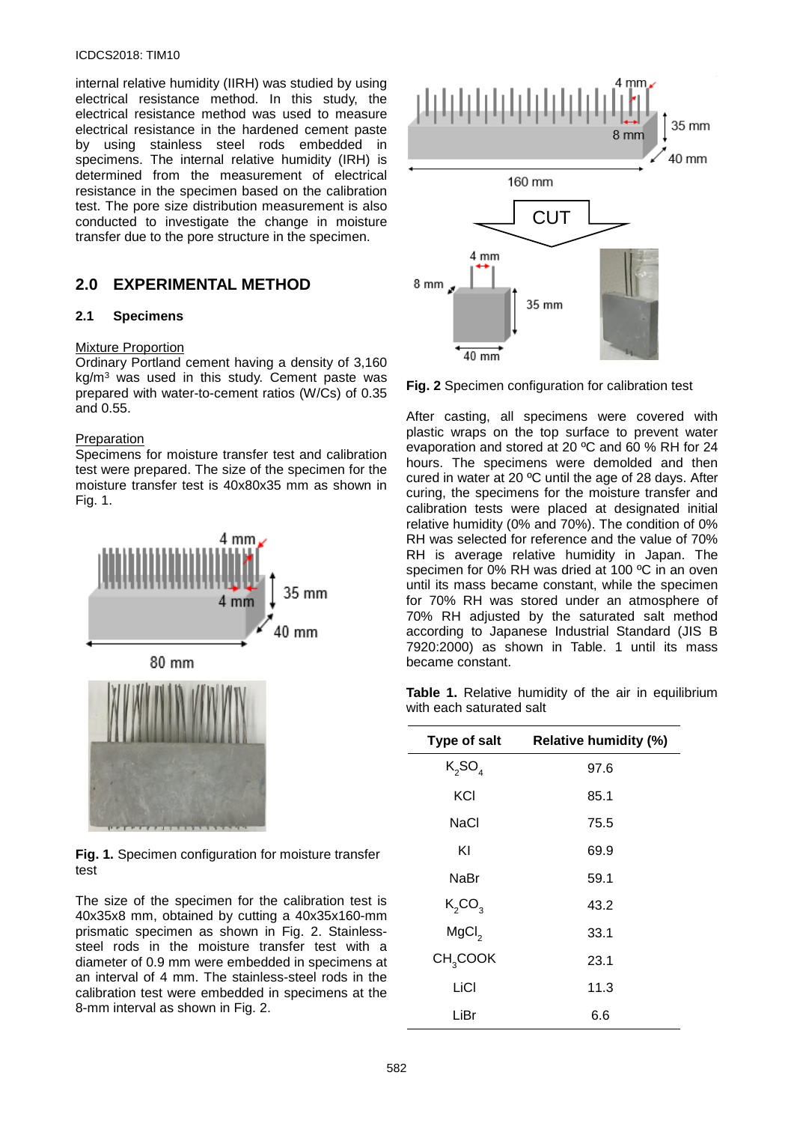#### ICDCS2018: TIM10

internal relative humidity (IIRH) was studied by using electrical resistance method. In this study, the electrical resistance method was used to measure electrical resistance in the hardened cement paste by using stainless steel rods embedded in specimens. The internal relative humidity (IRH) is determined from the measurement of electrical resistance in the specimen based on the calibration test. The pore size distribution measurement is also conducted to investigate the change in moisture transfer due to the pore structure in the specimen.

# **2.0 EXPERIMENTAL METHOD**

#### **2.1 Specimens**

#### Mixture Proportion

Ordinary Portland cement having a density of 3,160 kg/m3 was used in this study. Cement paste was prepared with water-to-cement ratios (W/Cs) of 0.35 and 0.55.

#### Preparation

Specimens for moisture transfer test and calibration test were prepared. The size of the specimen for the moisture transfer test is 40x80x35 mm as shown in Fig. 1.



**Fig. 1.** Specimen configuration for moisture transfer test

The size of the specimen for the calibration test is 40x35x8 mm, obtained by cutting a 40x35x160-mm prismatic specimen as shown in Fig. 2. Stainlesssteel rods in the moisture transfer test with a diameter of 0.9 mm were embedded in specimens at an interval of 4 mm. The stainless-steel rods in the calibration test were embedded in specimens at the 8-mm interval as shown in Fig. 2.



**Fig. 2** Specimen configuration for calibration test

After casting, all specimens were covered with plastic wraps on the top surface to prevent water evaporation and stored at 20 ºC and 60 % RH for 24 hours. The specimens were demolded and then cured in water at 20 ºC until the age of 28 days. After curing, the specimens for the moisture transfer and calibration tests were placed at designated initial relative humidity (0% and 70%). The condition of 0% RH was selected for reference and the value of 70% RH is average relative humidity in Japan. The specimen for 0% RH was dried at 100 °C in an oven until its mass became constant, while the specimen for 70% RH was stored under an atmosphere of 70% RH adjusted by the saturated salt method according to Japanese Industrial Standard (JIS B 7920:2000) as shown in Table. 1 until its mass became constant.

Table 1. Relative humidity of the air in equilibrium with each saturated salt

| Type of salt         | <b>Relative humidity (%)</b> |
|----------------------|------------------------------|
| $K_2SO_4$            | 97.6                         |
| KCI                  | 85.1                         |
| NaCl                 | 75.5                         |
| ΚI                   | 69.9                         |
| NaBr                 | 59.1                         |
| $K_2CO_3$            | 43.2                         |
| MgCl <sub>2</sub>    | 33.1                         |
| CH <sub>3</sub> COOK | 23.1                         |
| LiCI                 | 11.3                         |
| LiBr                 | 6.6                          |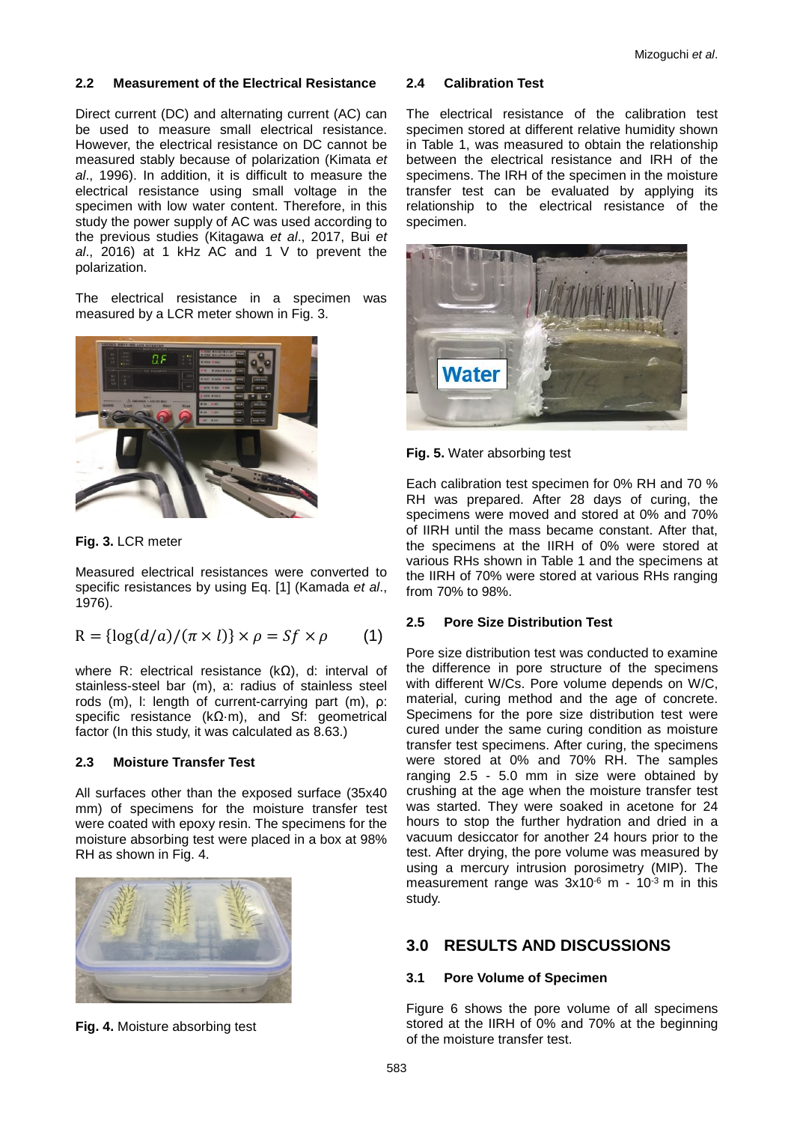# **2.2 Measurement of the Electrical Resistance**

Direct current (DC) and alternating current (AC) can be used to measure small electrical resistance. However, the electrical resistance on DC cannot be measured stably because of polarization (Kimata *et al*., 1996). In addition, it is difficult to measure the electrical resistance using small voltage in the specimen with low water content. Therefore, in this study the power supply of AC was used according to the previous studies (Kitagawa *et al*., 2017, Bui *et al*., 2016) at 1 kHz AC and 1 V to prevent the polarization.

The electrical resistance in a specimen was measured by a LCR meter shown in Fig. 3.



**Fig. 3.** LCR meter

Measured electrical resistances were converted to specific resistances by using Eq. [1] (Kamada *et al*., 1976).

$$
R = \{ \log(d/a) / (\pi \times l) \} \times \rho = Sf \times \rho \qquad (1)
$$

where R: electrical resistance (kΩ), d: interval of stainless-steel bar (m), a: radius of stainless steel rods (m), l: length of current-carrying part (m), ρ: specific resistance (kΩ·m), and Sf: geometrical factor (In this study, it was calculated as 8.63.)

# **2.3 Moisture Transfer Test**

All surfaces other than the exposed surface (35x40 mm) of specimens for the moisture transfer test were coated with epoxy resin. The specimens for the moisture absorbing test were placed in a box at 98% RH as shown in Fig. 4.



**Fig. 4.** Moisture absorbing test

# **2.4 Calibration Test**

The electrical resistance of the calibration test specimen stored at different relative humidity shown in Table 1, was measured to obtain the relationship between the electrical resistance and IRH of the specimens. The IRH of the specimen in the moisture transfer test can be evaluated by applying its relationship to the electrical resistance of the specimen.



**Fig. 5.** Water absorbing test

Each calibration test specimen for 0% RH and 70 % RH was prepared. After 28 days of curing, the specimens were moved and stored at 0% and 70% of IIRH until the mass became constant. After that, the specimens at the IIRH of 0% were stored at various RHs shown in Table 1 and the specimens at the IIRH of 70% were stored at various RHs ranging from 70% to 98%.

# **2.5 Pore Size Distribution Test**

Pore size distribution test was conducted to examine the difference in pore structure of the specimens with different W/Cs. Pore volume depends on W/C, material, curing method and the age of concrete. Specimens for the pore size distribution test were cured under the same curing condition as moisture transfer test specimens. After curing, the specimens were stored at 0% and 70% RH. The samples ranging 2.5 - 5.0 mm in size were obtained by crushing at the age when the moisture transfer test was started. They were soaked in acetone for 24 hours to stop the further hydration and dried in a vacuum desiccator for another 24 hours prior to the test. After drying, the pore volume was measured by using a mercury intrusion porosimetry (MIP). The measurement range was  $3x10^{-6}$  m -  $10^{-3}$  m in this study.

# **3.0 RESULTS AND DISCUSSIONS**

# **3.1 Pore Volume of Specimen**

Figure 6 shows the pore volume of all specimens stored at the IIRH of 0% and 70% at the beginning of the moisture transfer test.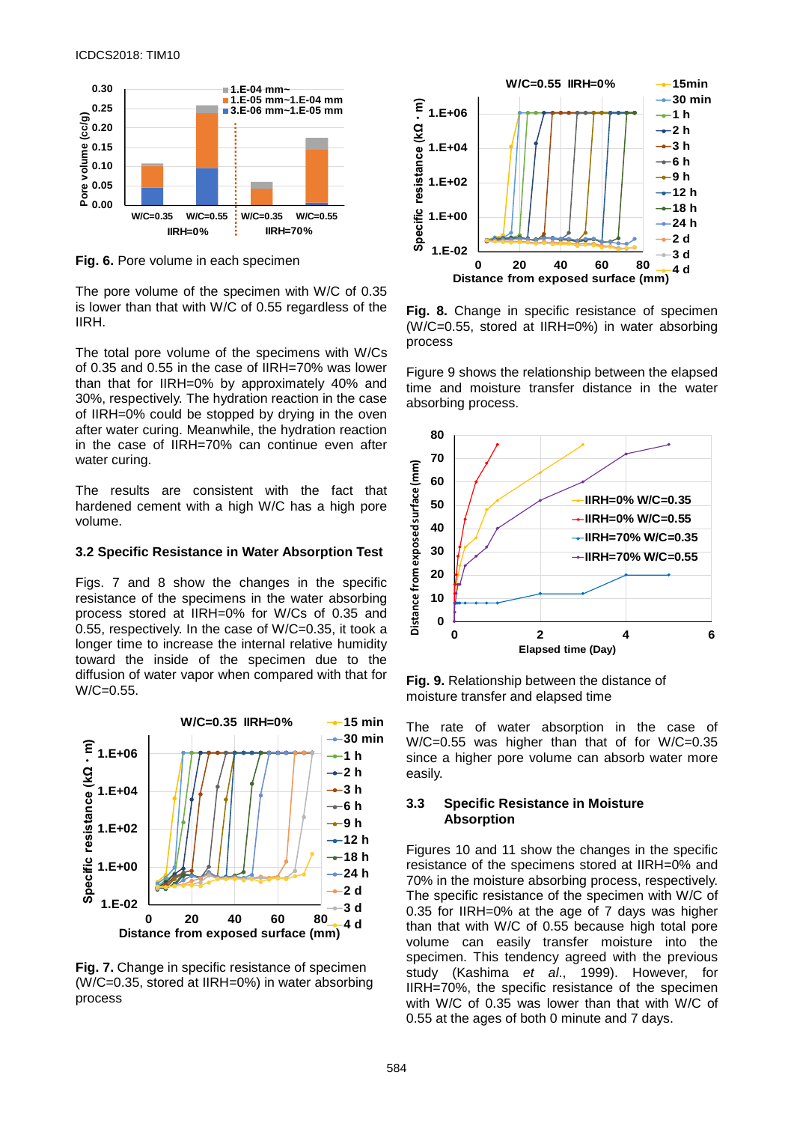

**Fig. 6.** Pore volume in each specimen

The pore volume of the specimen with W/C of 0.35 is lower than that with W/C of 0.55 regardless of the IIRH.

The total pore volume of the specimens with W/Cs of 0.35 and 0.55 in the case of IIRH=70% was lower than that for IIRH=0% by approximately 40% and 30%, respectively. The hydration reaction in the case of IIRH=0% could be stopped by drying in the oven after water curing. Meanwhile, the hydration reaction in the case of IIRH=70% can continue even after water curing.

The results are consistent with the fact that hardened cement with a high W/C has a high pore volume.

#### **3.2 Specific Resistance in Water Absorption Test**

Figs. 7 and 8 show the changes in the specific resistance of the specimens in the water absorbing process stored at IIRH=0% for W/Cs of 0.35 and 0.55, respectively. In the case of W/C=0.35, it took a longer time to increase the internal relative humidity toward the inside of the specimen due to the diffusion of water vapor when compared with that for W/C=0.55.



**Fig. 7.** Change in specific resistance of specimen (W/C=0.35, stored at IIRH=0%) in water absorbing process



**Fig. 8.** Change in specific resistance of specimen (W/C=0.55, stored at IIRH=0%) in water absorbing process

Figure 9 shows the relationship between the elapsed time and moisture transfer distance in the water absorbing process.



**Fig. 9.** Relationship between the distance of moisture transfer and elapsed time

The rate of water absorption in the case of W/C=0.55 was higher than that of for W/C=0.35 since a higher pore volume can absorb water more easily.

#### **3.3 Specific Resistance in Moisture Absorption**

Figures 10 and 11 show the changes in the specific resistance of the specimens stored at IIRH=0% and 70% in the moisture absorbing process, respectively. The specific resistance of the specimen with W/C of 0.35 for IIRH=0% at the age of 7 days was higher than that with W/C of 0.55 because high total pore volume can easily transfer moisture into the specimen. This tendency agreed with the previous study (Kashima *et al*., 1999). However, for IIRH=70%, the specific resistance of the specimen with W/C of 0.35 was lower than that with W/C of 0.55 at the ages of both 0 minute and 7 days.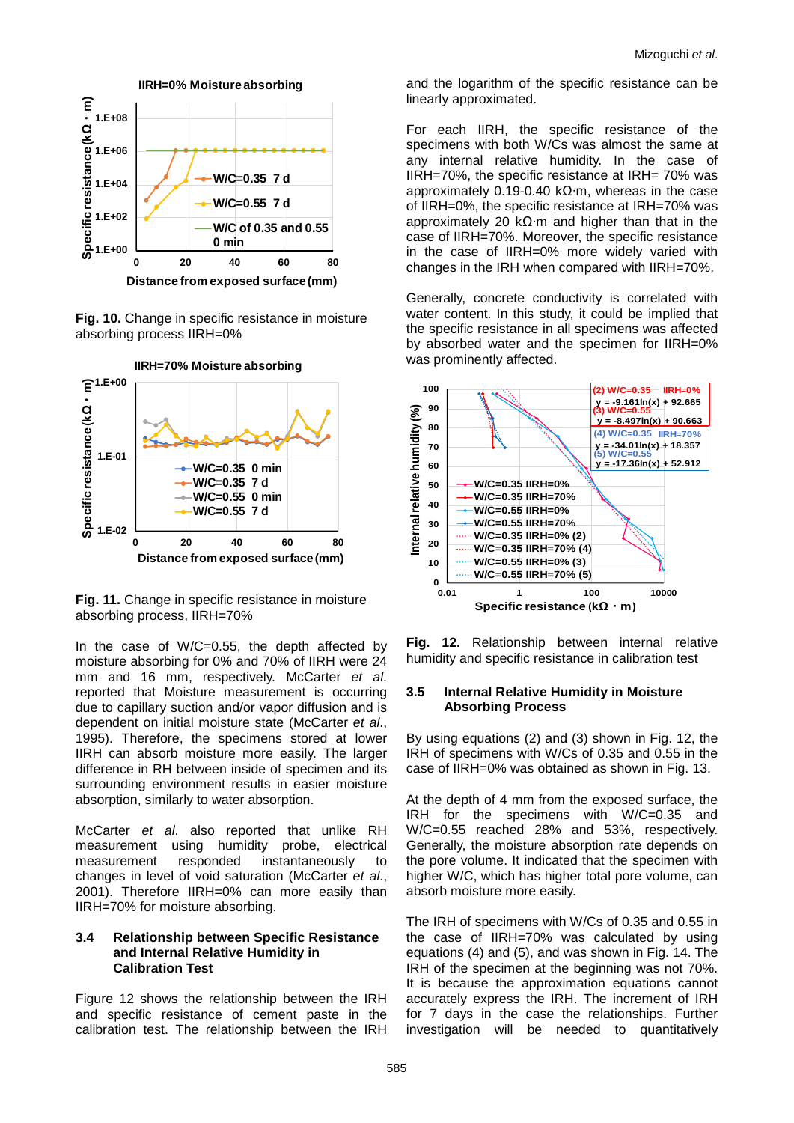

**Fig. 10.** Change in specific resistance in moisture

absorbing process IIRH=0%



**Fig. 11.** Change in specific resistance in moisture absorbing process, IIRH=70%

In the case of W/C=0.55, the depth affected by moisture absorbing for 0% and 70% of IIRH were 24 mm and 16 mm, respectively. McCarter *et al*. reported that Moisture measurement is occurring due to capillary suction and/or vapor diffusion and is dependent on initial moisture state (McCarter *et al*., 1995). Therefore, the specimens stored at lower IIRH can absorb moisture more easily. The larger difference in RH between inside of specimen and its surrounding environment results in easier moisture absorption, similarly to water absorption.

McCarter *et al*. also reported that unlike RH measurement using humidity probe, electrical measurement responded instantaneously to changes in level of void saturation (McCarter *et al*., 2001). Therefore IIRH=0% can more easily than IIRH=70% for moisture absorbing.

#### **3.4 Relationship between Specific Resistance and Internal Relative Humidity in Calibration Test**

Figure 12 shows the relationship between the IRH and specific resistance of cement paste in the calibration test. The relationship between the IRH and the logarithm of the specific resistance can be linearly approximated.

For each IIRH, the specific resistance of the specimens with both W/Cs was almost the same at any internal relative humidity. In the case of IIRH=70%, the specific resistance at IRH= 70% was approximately 0.19-0.40 kΩ∙m, whereas in the case of IIRH=0%, the specific resistance at IRH=70% was approximately 20 kΩ∙m and higher than that in the case of IIRH=70%. Moreover, the specific resistance in the case of IIRH=0% more widely varied with changes in the IRH when compared with IIRH=70%.

Generally, concrete conductivity is correlated with water content. In this study, it could be implied that the specific resistance in all specimens was affected by absorbed water and the specimen for IIRH=0% was prominently affected.



**Fig. 12.** Relationship between internal relative humidity and specific resistance in calibration test

#### **3.5 Internal Relative Humidity in Moisture Absorbing Process**

By using equations (2) and (3) shown in Fig. 12, the IRH of specimens with W/Cs of 0.35 and 0.55 in the case of IIRH=0% was obtained as shown in Fig. 13.

At the depth of 4 mm from the exposed surface, the IRH for the specimens with W/C=0.35 and W/C=0.55 reached 28% and 53%, respectively. Generally, the moisture absorption rate depends on the pore volume. It indicated that the specimen with higher W/C, which has higher total pore volume, can absorb moisture more easily.

The IRH of specimens with W/Cs of 0.35 and 0.55 in the case of IIRH=70% was calculated by using equations (4) and (5), and was shown in Fig. 14. The IRH of the specimen at the beginning was not 70%. It is because the approximation equations cannot accurately express the IRH. The increment of IRH for 7 days in the case the relationships. Further investigation will be needed to quantitatively